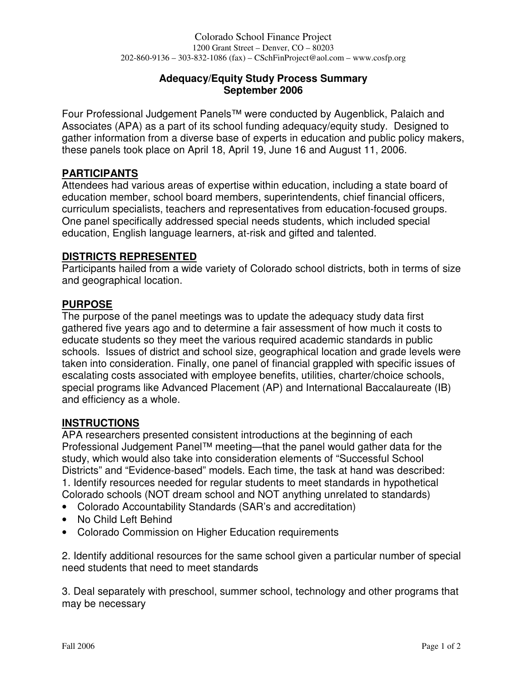### **Adequacy/Equity Study Process Summary September 2006**

Four Professional Judgement Panels™ were conducted by Augenblick, Palaich and Associates (APA) as a part of its school funding adequacy/equity study. Designed to gather information from a diverse base of experts in education and public policy makers, these panels took place on April 18, April 19, June 16 and August 11, 2006.

## **PARTICIPANTS**

Attendees had various areas of expertise within education, including a state board of education member, school board members, superintendents, chief financial officers, curriculum specialists, teachers and representatives from education-focused groups. One panel specifically addressed special needs students, which included special education, English language learners, at-risk and gifted and talented.

#### **DISTRICTS REPRESENTED**

Participants hailed from a wide variety of Colorado school districts, both in terms of size and geographical location.

#### **PURPOSE**

The purpose of the panel meetings was to update the adequacy study data first gathered five years ago and to determine a fair assessment of how much it costs to educate students so they meet the various required academic standards in public schools. Issues of district and school size, geographical location and grade levels were taken into consideration. Finally, one panel of financial grappled with specific issues of escalating costs associated with employee benefits, utilities, charter/choice schools, special programs like Advanced Placement (AP) and International Baccalaureate (IB) and efficiency as a whole.

#### **INSTRUCTIONS**

APA researchers presented consistent introductions at the beginning of each Professional Judgement Panel™ meeting—that the panel would gather data for the study, which would also take into consideration elements of "Successful School Districts" and "Evidence-based" models. Each time, the task at hand was described: 1. Identify resources needed for regular students to meet standards in hypothetical Colorado schools (NOT dream school and NOT anything unrelated to standards)

- Colorado Accountability Standards (SAR's and accreditation)
- No Child Left Behind
- Colorado Commission on Higher Education requirements

2. Identify additional resources for the same school given a particular number of special need students that need to meet standards

3. Deal separately with preschool, summer school, technology and other programs that may be necessary